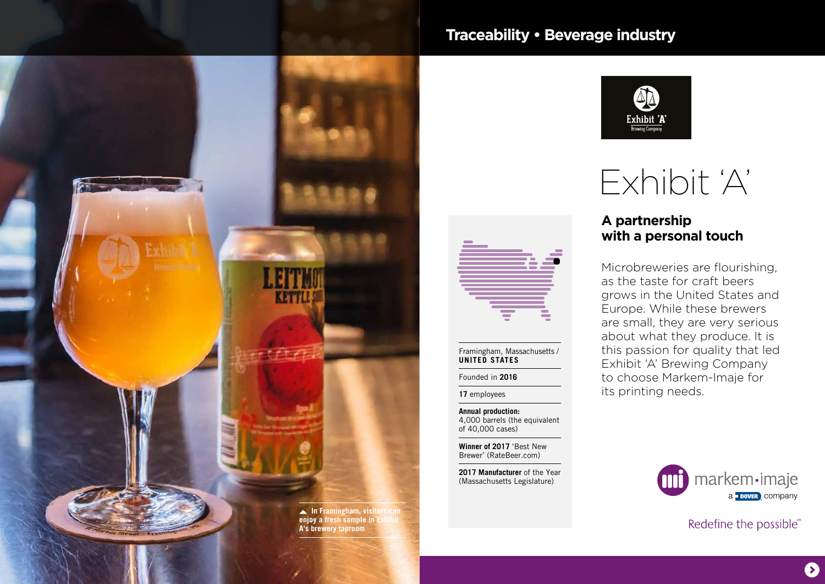

## **Traceability • Beverage industry**



# Exhibit 'A'

#### **A partnership with a personal touch**

Microbreweries are flourishing, as the taste for craft beers grows in the United States and Europe. While these brewers are small, they are very serious about what they produce. It is this passion for quality that led Exhibit 'A' Brewing Company to choose Markem-Imaje for its printing needs.

**Annual production:**  4,000 barrels (the equivalent of 40,000 cases)

Framingham, Massachusetts /

**UNITED STATES** Founded in **2016 17** employees

**Winner of 2017** 'Best New Brewer' (RateBeer.com)

**2017 Manufacturer** of the Year (Massachusetts Legislature)



Redefine the possible®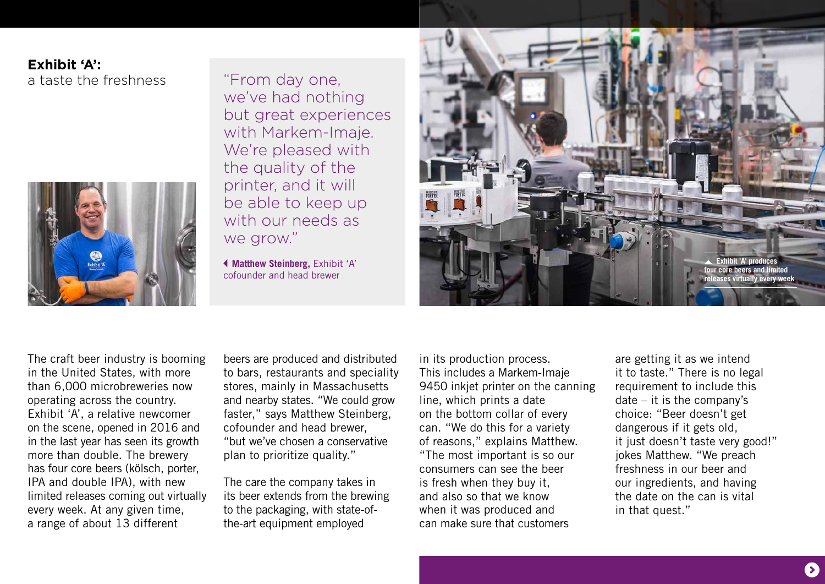### **Exhibit 'A':** a taste the freshness



"From day one, we've had nothing but great experiences with Markem-Imaje. We're pleased with the quality of the printer, and it will be able to keep up with our needs as we grow."

 **Matthew Steinberg,** Exhibit 'A' cofounder and head brewer



The craft beer industry is booming in the United States, with more than 6,000 microbreweries now operating across the country. Exhibit 'A', a relative newcomer on the scene, opened in 2016 and in the last year has seen its growth more than double. The brewery has four core beers (kölsch, porter, IPA and double IPA), with new limited releases coming out virtually every week. At any given time, a range of about 13 different

beers are produced and distributed to bars, restaurants and speciality stores, mainly in Massachusetts and nearby states. "We could grow faster," says Matthew Steinberg, cofounder and head brewer, "but we've chosen a conservative plan to prioritize quality."

The care the company takes in its beer extends from the brewing to the packaging, with state-ofthe-art equipment employed

in its production process. This includes a Markem-Imaje 9450 inkjet printer on the canning line, which prints a date on the bottom collar of every can. "We do this for a variety of reasons," explains Matthew. "The most important is so our consumers can see the beer is fresh when they buy it, and also so that we know when it was produced and can make sure that customers

are getting it as we intend it to taste." There is no legal requirement to include this date – it is the company's choice: "Beer doesn't get dangerous if it gets old, it just doesn't taste very good!" jokes Matthew. "We preach freshness in our beer and our ingredients, and having the date on the can is vital in that quest."